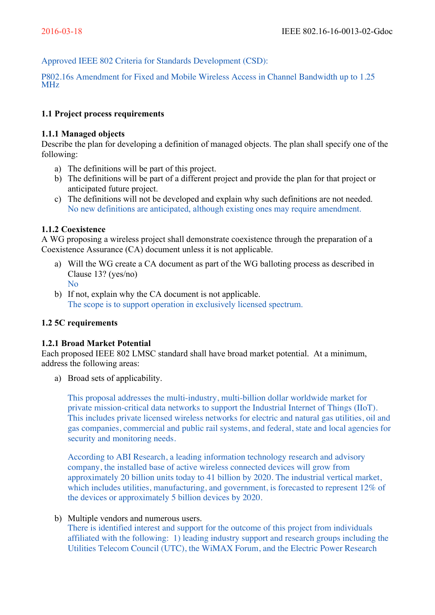Approved IEEE 802 Criteria for Standards Development (CSD):

P802.16s Amendment for Fixed and Mobile Wireless Access in Channel Bandwidth up to 1.25 MHz

## **1.1 Project process requirements**

### **1.1.1 Managed objects**

Describe the plan for developing a definition of managed objects. The plan shall specify one of the following:

- a) The definitions will be part of this project.
- b) The definitions will be part of a different project and provide the plan for that project or anticipated future project.
- c) The definitions will not be developed and explain why such definitions are not needed. No new definitions are anticipated, although existing ones may require amendment.

## **1.1.2 Coexistence**

A WG proposing a wireless project shall demonstrate coexistence through the preparation of a Coexistence Assurance (CA) document unless it is not applicable.

- a) Will the WG create a CA document as part of the WG balloting process as described in Clause 13? (yes/no) No
- b) If not, explain why the CA document is not applicable. The scope is to support operation in exclusively licensed spectrum.

# **1.2 5C requirements**

#### **1.2.1 Broad Market Potential**

Each proposed IEEE 802 LMSC standard shall have broad market potential. At a minimum, address the following areas:

a) Broad sets of applicability.

This proposal addresses the multi-industry, multi-billion dollar worldwide market for private mission-critical data networks to support the Industrial Internet of Things (IIoT). This includes private licensed wireless networks for electric and natural gas utilities, oil and gas companies, commercial and public rail systems, and federal, state and local agencies for security and monitoring needs.

According to ABI Research, a leading information technology research and advisory company, the installed base of active wireless connected devices will grow from approximately 20 billion units today to 41 billion by 2020. The industrial vertical market, which includes utilities, manufacturing, and government, is forecasted to represent 12% of the devices or approximately 5 billion devices by 2020.

#### b) Multiple vendors and numerous users.

There is identified interest and support for the outcome of this project from individuals affiliated with the following: 1) leading industry support and research groups including the Utilities Telecom Council (UTC), the WiMAX Forum, and the Electric Power Research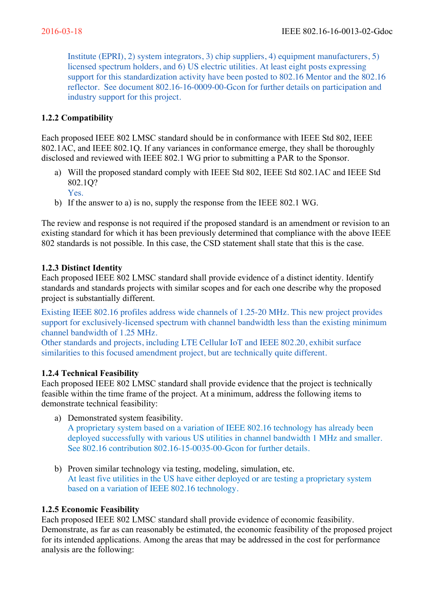Institute (EPRI), 2) system integrators, 3) chip suppliers, 4) equipment manufacturers, 5) licensed spectrum holders, and 6) US electric utilities. At least eight posts expressing support for this standardization activity have been posted to 802.16 Mentor and the 802.16 reflector. See document 802.16-16-0009-00-Gcon for further details on participation and industry support for this project.

# **1.2.2 Compatibility**

Each proposed IEEE 802 LMSC standard should be in conformance with IEEE Std 802, IEEE 802.1AC, and IEEE 802.1Q. If any variances in conformance emerge, they shall be thoroughly disclosed and reviewed with IEEE 802.1 WG prior to submitting a PAR to the Sponsor.

- a) Will the proposed standard comply with IEEE Std 802, IEEE Std 802.1AC and IEEE Std 802.1Q?
	- Yes.
- b) If the answer to a) is no, supply the response from the IEEE 802.1 WG.

The review and response is not required if the proposed standard is an amendment or revision to an existing standard for which it has been previously determined that compliance with the above IEEE 802 standards is not possible. In this case, the CSD statement shall state that this is the case.

## **1.2.3 Distinct Identity**

Each proposed IEEE 802 LMSC standard shall provide evidence of a distinct identity. Identify standards and standards projects with similar scopes and for each one describe why the proposed project is substantially different.

Existing IEEE 802.16 profiles address wide channels of 1.25-20 MHz. This new project provides support for exclusively-licensed spectrum with channel bandwidth less than the existing minimum channel bandwidth of 1.25 MHz.

Other standards and projects, including LTE Cellular IoT and IEEE 802.20, exhibit surface similarities to this focused amendment project, but are technically quite different.

# **1.2.4 Technical Feasibility**

Each proposed IEEE 802 LMSC standard shall provide evidence that the project is technically feasible within the time frame of the project. At a minimum, address the following items to demonstrate technical feasibility:

a) Demonstrated system feasibility.

A proprietary system based on a variation of IEEE 802.16 technology has already been deployed successfully with various US utilities in channel bandwidth 1 MHz and smaller. See 802.16 contribution 802.16-15-0035-00-Gcon for further details.

b) Proven similar technology via testing, modeling, simulation, etc. At least five utilities in the US have either deployed or are testing a proprietary system based on a variation of IEEE 802.16 technology.

### **1.2.5 Economic Feasibility**

Each proposed IEEE 802 LMSC standard shall provide evidence of economic feasibility. Demonstrate, as far as can reasonably be estimated, the economic feasibility of the proposed project for its intended applications. Among the areas that may be addressed in the cost for performance analysis are the following: